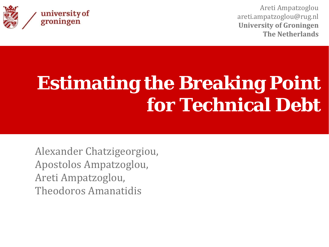

Areti Ampatzoglou areti.ampatzoglou@rug.nl **University of Groningen The Netherlands**

# **Estimating the Breaking Point for Technical Debt**

Alexander Chatzigeorgiou, Apostolos Ampatzoglou, Areti Ampatzoglou, Theodoros Amanatidis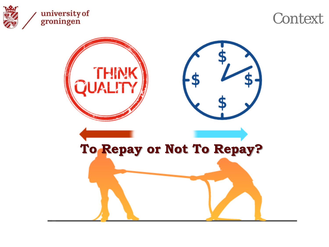

## **Context**

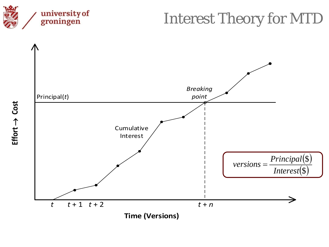

## Interest Theory for MTD

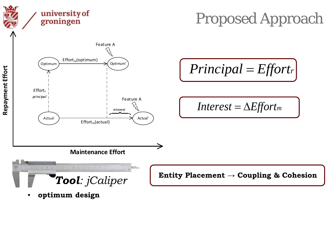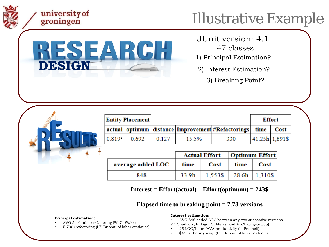

### university of groningen

# Illustrative Example



JUnit version: 4.1

- 147 classes
- 1) Principal Estimation?
- 2) Interest Estimation?
	- 3) Breaking Point?

| <b>Entity Placement</b> |       |       |       |                                                                  | <b>Effort</b> |               |
|-------------------------|-------|-------|-------|------------------------------------------------------------------|---------------|---------------|
|                         |       |       |       | actual   optimum   distance   Improvement   #Refactorings   time |               | Cost          |
| 0.819a                  | 0.692 | 0.127 | 15.5% | 330                                                              |               | 41.25h 1.891S |

|                   | <b>Actual Effort</b>   Optimum Effort |                                     |  |             |
|-------------------|---------------------------------------|-------------------------------------|--|-------------|
| average added LOC | time                                  | Cost                                |  | time   Cost |
| 848               |                                       | $33.9h$   1,553\$   28.6h   1,310\$ |  |             |

**Interest = Effort(actual) – Effort(optimum) = 243\$**

#### **Elapsed time to breaking point = 7.78 versions**

#### **Principal estimation:**

- AVG 5-10 mins/refactoring (W. C. Wake)
- 5.73\$/refactoring (US Bureau of labor statistics)

#### **Interest estimation:**

- AVG 848 added LOC between any two successive versions
- (T. Chaikalis, E. Ligu, G. Melas, and A. Chatzigeorgiou)
- 25 LOC/hour JAVA productivity (L. Prechelt)
- \$45.81 hourly wage (US Bureau of labor statistics)

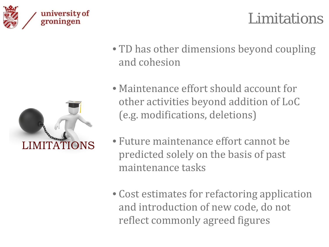



• TD has other dimensions beyond coupling and cohesion



- Maintenance effort should account for other activities beyond addition of LoC (e.g. modifications, deletions)
- Future maintenance effort cannot be predicted solely on the basis of past maintenance tasks
- Cost estimates for refactoring application and introduction of new code, do not reflect commonly agreed figures